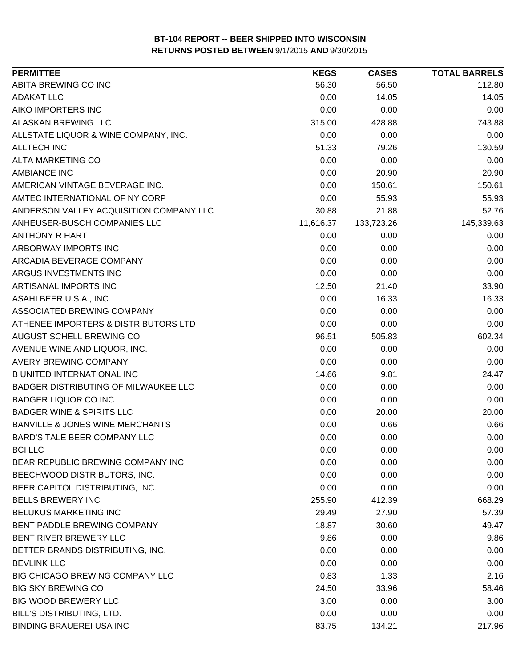| <b>PERMITTEE</b>                           | <b>KEGS</b> | <b>CASES</b> | <b>TOTAL BARRELS</b> |
|--------------------------------------------|-------------|--------------|----------------------|
| ABITA BREWING CO INC                       | 56.30       | 56.50        | 112.80               |
| <b>ADAKAT LLC</b>                          | 0.00        | 14.05        | 14.05                |
| AIKO IMPORTERS INC                         | 0.00        | 0.00         | 0.00                 |
| ALASKAN BREWING LLC                        | 315.00      | 428.88       | 743.88               |
| ALLSTATE LIQUOR & WINE COMPANY, INC.       | 0.00        | 0.00         | 0.00                 |
| <b>ALLTECH INC</b>                         | 51.33       | 79.26        | 130.59               |
| <b>ALTA MARKETING CO</b>                   | 0.00        | 0.00         | 0.00                 |
| <b>AMBIANCE INC</b>                        | 0.00        | 20.90        | 20.90                |
| AMERICAN VINTAGE BEVERAGE INC.             | 0.00        | 150.61       | 150.61               |
| AMTEC INTERNATIONAL OF NY CORP             | 0.00        | 55.93        | 55.93                |
| ANDERSON VALLEY ACQUISITION COMPANY LLC    | 30.88       | 21.88        | 52.76                |
| ANHEUSER-BUSCH COMPANIES LLC               | 11,616.37   | 133,723.26   | 145,339.63           |
| <b>ANTHONY R HART</b>                      | 0.00        | 0.00         | 0.00                 |
| ARBORWAY IMPORTS INC                       | 0.00        | 0.00         | 0.00                 |
| ARCADIA BEVERAGE COMPANY                   | 0.00        | 0.00         | 0.00                 |
| ARGUS INVESTMENTS INC                      | 0.00        | 0.00         | 0.00                 |
| ARTISANAL IMPORTS INC                      | 12.50       | 21.40        | 33.90                |
| ASAHI BEER U.S.A., INC.                    | 0.00        | 16.33        | 16.33                |
| ASSOCIATED BREWING COMPANY                 | 0.00        | 0.00         | 0.00                 |
| ATHENEE IMPORTERS & DISTRIBUTORS LTD       | 0.00        | 0.00         | 0.00                 |
| AUGUST SCHELL BREWING CO                   | 96.51       | 505.83       | 602.34               |
| AVENUE WINE AND LIQUOR, INC.               | 0.00        | 0.00         | 0.00                 |
| <b>AVERY BREWING COMPANY</b>               | 0.00        | 0.00         | 0.00                 |
| <b>B UNITED INTERNATIONAL INC</b>          | 14.66       | 9.81         | 24.47                |
| BADGER DISTRIBUTING OF MILWAUKEE LLC       | 0.00        | 0.00         | 0.00                 |
| <b>BADGER LIQUOR CO INC</b>                | 0.00        | 0.00         | 0.00                 |
| <b>BADGER WINE &amp; SPIRITS LLC</b>       | 0.00        | 20.00        | 20.00                |
| <b>BANVILLE &amp; JONES WINE MERCHANTS</b> | 0.00        | 0.66         | 0.66                 |
| <b>BARD'S TALE BEER COMPANY LLC</b>        | 0.00        | 0.00         | 0.00                 |
| <b>BCILLC</b>                              | 0.00        | 0.00         | 0.00                 |
| BEAR REPUBLIC BREWING COMPANY INC          | 0.00        | 0.00         | 0.00                 |
| BEECHWOOD DISTRIBUTORS, INC.               | 0.00        | 0.00         | 0.00                 |
| BEER CAPITOL DISTRIBUTING, INC.            | 0.00        | 0.00         | 0.00                 |
| <b>BELLS BREWERY INC</b>                   | 255.90      | 412.39       | 668.29               |
| <b>BELUKUS MARKETING INC</b>               | 29.49       | 27.90        | 57.39                |
| BENT PADDLE BREWING COMPANY                | 18.87       | 30.60        | 49.47                |
| BENT RIVER BREWERY LLC                     | 9.86        | 0.00         | 9.86                 |
| BETTER BRANDS DISTRIBUTING, INC.           | 0.00        | 0.00         | 0.00                 |
| <b>BEVLINK LLC</b>                         | 0.00        | 0.00         | 0.00                 |
| BIG CHICAGO BREWING COMPANY LLC            | 0.83        | 1.33         | 2.16                 |
| <b>BIG SKY BREWING CO</b>                  | 24.50       | 33.96        | 58.46                |
| <b>BIG WOOD BREWERY LLC</b>                | 3.00        | 0.00         | 3.00                 |
| <b>BILL'S DISTRIBUTING, LTD.</b>           | 0.00        | 0.00         | 0.00                 |
| <b>BINDING BRAUEREI USA INC</b>            | 83.75       | 134.21       | 217.96               |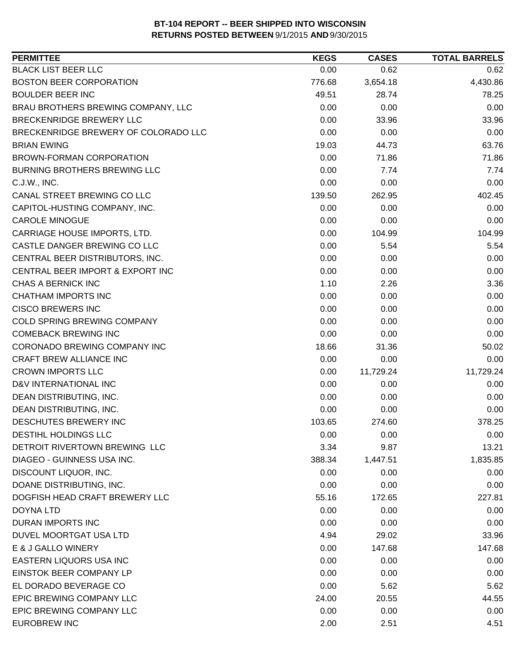| <b>BLACK LIST BEER LLC</b><br>0.00<br>0.62<br>0.62<br><b>BOSTON BEER CORPORATION</b><br>4,430.86<br>776.68<br>3,654.18<br><b>BOULDER BEER INC</b><br>49.51<br>28.74<br>78.25<br>BRAU BROTHERS BREWING COMPANY, LLC<br>0.00<br>0.00<br>0.00<br>BRECKENRIDGE BREWERY LLC<br>0.00<br>33.96<br>33.96<br>BRECKENRIDGE BREWERY OF COLORADO LLC<br>0.00<br>0.00<br>0.00<br><b>BRIAN EWING</b><br>19.03<br>44.73<br>63.76<br>0.00<br>BROWN-FORMAN CORPORATION<br>71.86<br>71.86<br>0.00<br><b>BURNING BROTHERS BREWING LLC</b><br>7.74<br>7.74<br>0.00<br>0.00<br>C.J.W., INC.<br>0.00<br>CANAL STREET BREWING CO LLC<br>139.50<br>262.95<br>402.45<br>0.00<br>0.00<br>CAPITOL-HUSTING COMPANY, INC.<br>0.00<br>0.00<br>0.00<br>0.00<br><b>CAROLE MINOGUE</b><br>CARRIAGE HOUSE IMPORTS, LTD.<br>0.00<br>104.99<br>104.99<br>CASTLE DANGER BREWING CO LLC<br>0.00<br>5.54<br>5.54<br>CENTRAL BEER DISTRIBUTORS, INC.<br>0.00<br>0.00<br>0.00<br>0.00<br>CENTRAL BEER IMPORT & EXPORT INC<br>0.00<br>0.00<br><b>CHAS A BERNICK INC</b><br>1.10<br>2.26<br>3.36<br><b>CHATHAM IMPORTS INC</b><br>0.00<br>0.00<br>0.00<br><b>CISCO BREWERS INC</b><br>0.00<br>0.00<br>0.00<br>COLD SPRING BREWING COMPANY<br>0.00<br>0.00<br>0.00<br><b>COMEBACK BREWING INC</b><br>0.00<br>0.00<br>0.00<br>CORONADO BREWING COMPANY INC<br>18.66<br>31.36<br>50.02<br>CRAFT BREW ALLIANCE INC<br>0.00<br>0.00<br>0.00<br><b>CROWN IMPORTS LLC</b><br>0.00<br>11,729.24<br>11,729.24<br>0.00<br>D&V INTERNATIONAL INC<br>0.00<br>0.00<br>0.00<br>DEAN DISTRIBUTING, INC.<br>0.00<br>0.00<br>DEAN DISTRIBUTING, INC.<br>0.00<br>0.00<br>0.00<br>DESCHUTES BREWERY INC<br>103.65<br>378.25<br>274.60<br><b>DESTIHL HOLDINGS LLC</b><br>0.00<br>0.00<br>0.00<br>DETROIT RIVERTOWN BREWING LLC<br>3.34<br>9.87<br>13.21<br><b>DIAGEO - GUINNESS USA INC.</b><br>388.34<br>1,447.51<br>1,835.85<br>DISCOUNT LIQUOR, INC.<br>0.00<br>0.00<br>0.00<br>DOANE DISTRIBUTING, INC.<br>0.00<br>0.00<br>0.00<br>DOGFISH HEAD CRAFT BREWERY LLC<br>227.81<br>55.16<br>172.65<br><b>DOYNA LTD</b><br>0.00<br>0.00<br>0.00<br>0.00<br>DURAN IMPORTS INC<br>0.00<br>0.00<br>DUVEL MOORTGAT USA LTD<br>4.94<br>29.02<br>33.96<br>E & J GALLO WINERY<br>0.00<br>147.68<br>147.68<br>EASTERN LIQUORS USA INC<br>0.00<br>0.00<br>0.00<br>EINSTOK BEER COMPANY LP<br>0.00<br>0.00<br>0.00<br>EL DORADO BEVERAGE CO<br>0.00<br>5.62<br>5.62<br>EPIC BREWING COMPANY LLC<br>24.00<br>20.55<br>44.55<br>EPIC BREWING COMPANY LLC<br>0.00<br>0.00<br>0.00<br><b>EUROBREW INC</b><br>2.00<br>2.51<br>4.51 | <b>PERMITTEE</b> | <b>KEGS</b> | <b>CASES</b> | <b>TOTAL BARRELS</b> |
|-----------------------------------------------------------------------------------------------------------------------------------------------------------------------------------------------------------------------------------------------------------------------------------------------------------------------------------------------------------------------------------------------------------------------------------------------------------------------------------------------------------------------------------------------------------------------------------------------------------------------------------------------------------------------------------------------------------------------------------------------------------------------------------------------------------------------------------------------------------------------------------------------------------------------------------------------------------------------------------------------------------------------------------------------------------------------------------------------------------------------------------------------------------------------------------------------------------------------------------------------------------------------------------------------------------------------------------------------------------------------------------------------------------------------------------------------------------------------------------------------------------------------------------------------------------------------------------------------------------------------------------------------------------------------------------------------------------------------------------------------------------------------------------------------------------------------------------------------------------------------------------------------------------------------------------------------------------------------------------------------------------------------------------------------------------------------------------------------------------------------------------------------------------------------------------------------------------------------------------------------------------------------------------------------------------------------------------------------------------------------------------------------------------------------------------------------------------------------------------------------------------------------------------------------------|------------------|-------------|--------------|----------------------|
|                                                                                                                                                                                                                                                                                                                                                                                                                                                                                                                                                                                                                                                                                                                                                                                                                                                                                                                                                                                                                                                                                                                                                                                                                                                                                                                                                                                                                                                                                                                                                                                                                                                                                                                                                                                                                                                                                                                                                                                                                                                                                                                                                                                                                                                                                                                                                                                                                                                                                                                                                     |                  |             |              |                      |
|                                                                                                                                                                                                                                                                                                                                                                                                                                                                                                                                                                                                                                                                                                                                                                                                                                                                                                                                                                                                                                                                                                                                                                                                                                                                                                                                                                                                                                                                                                                                                                                                                                                                                                                                                                                                                                                                                                                                                                                                                                                                                                                                                                                                                                                                                                                                                                                                                                                                                                                                                     |                  |             |              |                      |
|                                                                                                                                                                                                                                                                                                                                                                                                                                                                                                                                                                                                                                                                                                                                                                                                                                                                                                                                                                                                                                                                                                                                                                                                                                                                                                                                                                                                                                                                                                                                                                                                                                                                                                                                                                                                                                                                                                                                                                                                                                                                                                                                                                                                                                                                                                                                                                                                                                                                                                                                                     |                  |             |              |                      |
|                                                                                                                                                                                                                                                                                                                                                                                                                                                                                                                                                                                                                                                                                                                                                                                                                                                                                                                                                                                                                                                                                                                                                                                                                                                                                                                                                                                                                                                                                                                                                                                                                                                                                                                                                                                                                                                                                                                                                                                                                                                                                                                                                                                                                                                                                                                                                                                                                                                                                                                                                     |                  |             |              |                      |
|                                                                                                                                                                                                                                                                                                                                                                                                                                                                                                                                                                                                                                                                                                                                                                                                                                                                                                                                                                                                                                                                                                                                                                                                                                                                                                                                                                                                                                                                                                                                                                                                                                                                                                                                                                                                                                                                                                                                                                                                                                                                                                                                                                                                                                                                                                                                                                                                                                                                                                                                                     |                  |             |              |                      |
|                                                                                                                                                                                                                                                                                                                                                                                                                                                                                                                                                                                                                                                                                                                                                                                                                                                                                                                                                                                                                                                                                                                                                                                                                                                                                                                                                                                                                                                                                                                                                                                                                                                                                                                                                                                                                                                                                                                                                                                                                                                                                                                                                                                                                                                                                                                                                                                                                                                                                                                                                     |                  |             |              |                      |
|                                                                                                                                                                                                                                                                                                                                                                                                                                                                                                                                                                                                                                                                                                                                                                                                                                                                                                                                                                                                                                                                                                                                                                                                                                                                                                                                                                                                                                                                                                                                                                                                                                                                                                                                                                                                                                                                                                                                                                                                                                                                                                                                                                                                                                                                                                                                                                                                                                                                                                                                                     |                  |             |              |                      |
|                                                                                                                                                                                                                                                                                                                                                                                                                                                                                                                                                                                                                                                                                                                                                                                                                                                                                                                                                                                                                                                                                                                                                                                                                                                                                                                                                                                                                                                                                                                                                                                                                                                                                                                                                                                                                                                                                                                                                                                                                                                                                                                                                                                                                                                                                                                                                                                                                                                                                                                                                     |                  |             |              |                      |
|                                                                                                                                                                                                                                                                                                                                                                                                                                                                                                                                                                                                                                                                                                                                                                                                                                                                                                                                                                                                                                                                                                                                                                                                                                                                                                                                                                                                                                                                                                                                                                                                                                                                                                                                                                                                                                                                                                                                                                                                                                                                                                                                                                                                                                                                                                                                                                                                                                                                                                                                                     |                  |             |              |                      |
|                                                                                                                                                                                                                                                                                                                                                                                                                                                                                                                                                                                                                                                                                                                                                                                                                                                                                                                                                                                                                                                                                                                                                                                                                                                                                                                                                                                                                                                                                                                                                                                                                                                                                                                                                                                                                                                                                                                                                                                                                                                                                                                                                                                                                                                                                                                                                                                                                                                                                                                                                     |                  |             |              |                      |
|                                                                                                                                                                                                                                                                                                                                                                                                                                                                                                                                                                                                                                                                                                                                                                                                                                                                                                                                                                                                                                                                                                                                                                                                                                                                                                                                                                                                                                                                                                                                                                                                                                                                                                                                                                                                                                                                                                                                                                                                                                                                                                                                                                                                                                                                                                                                                                                                                                                                                                                                                     |                  |             |              |                      |
|                                                                                                                                                                                                                                                                                                                                                                                                                                                                                                                                                                                                                                                                                                                                                                                                                                                                                                                                                                                                                                                                                                                                                                                                                                                                                                                                                                                                                                                                                                                                                                                                                                                                                                                                                                                                                                                                                                                                                                                                                                                                                                                                                                                                                                                                                                                                                                                                                                                                                                                                                     |                  |             |              |                      |
|                                                                                                                                                                                                                                                                                                                                                                                                                                                                                                                                                                                                                                                                                                                                                                                                                                                                                                                                                                                                                                                                                                                                                                                                                                                                                                                                                                                                                                                                                                                                                                                                                                                                                                                                                                                                                                                                                                                                                                                                                                                                                                                                                                                                                                                                                                                                                                                                                                                                                                                                                     |                  |             |              |                      |
|                                                                                                                                                                                                                                                                                                                                                                                                                                                                                                                                                                                                                                                                                                                                                                                                                                                                                                                                                                                                                                                                                                                                                                                                                                                                                                                                                                                                                                                                                                                                                                                                                                                                                                                                                                                                                                                                                                                                                                                                                                                                                                                                                                                                                                                                                                                                                                                                                                                                                                                                                     |                  |             |              |                      |
|                                                                                                                                                                                                                                                                                                                                                                                                                                                                                                                                                                                                                                                                                                                                                                                                                                                                                                                                                                                                                                                                                                                                                                                                                                                                                                                                                                                                                                                                                                                                                                                                                                                                                                                                                                                                                                                                                                                                                                                                                                                                                                                                                                                                                                                                                                                                                                                                                                                                                                                                                     |                  |             |              |                      |
|                                                                                                                                                                                                                                                                                                                                                                                                                                                                                                                                                                                                                                                                                                                                                                                                                                                                                                                                                                                                                                                                                                                                                                                                                                                                                                                                                                                                                                                                                                                                                                                                                                                                                                                                                                                                                                                                                                                                                                                                                                                                                                                                                                                                                                                                                                                                                                                                                                                                                                                                                     |                  |             |              |                      |
|                                                                                                                                                                                                                                                                                                                                                                                                                                                                                                                                                                                                                                                                                                                                                                                                                                                                                                                                                                                                                                                                                                                                                                                                                                                                                                                                                                                                                                                                                                                                                                                                                                                                                                                                                                                                                                                                                                                                                                                                                                                                                                                                                                                                                                                                                                                                                                                                                                                                                                                                                     |                  |             |              |                      |
|                                                                                                                                                                                                                                                                                                                                                                                                                                                                                                                                                                                                                                                                                                                                                                                                                                                                                                                                                                                                                                                                                                                                                                                                                                                                                                                                                                                                                                                                                                                                                                                                                                                                                                                                                                                                                                                                                                                                                                                                                                                                                                                                                                                                                                                                                                                                                                                                                                                                                                                                                     |                  |             |              |                      |
|                                                                                                                                                                                                                                                                                                                                                                                                                                                                                                                                                                                                                                                                                                                                                                                                                                                                                                                                                                                                                                                                                                                                                                                                                                                                                                                                                                                                                                                                                                                                                                                                                                                                                                                                                                                                                                                                                                                                                                                                                                                                                                                                                                                                                                                                                                                                                                                                                                                                                                                                                     |                  |             |              |                      |
|                                                                                                                                                                                                                                                                                                                                                                                                                                                                                                                                                                                                                                                                                                                                                                                                                                                                                                                                                                                                                                                                                                                                                                                                                                                                                                                                                                                                                                                                                                                                                                                                                                                                                                                                                                                                                                                                                                                                                                                                                                                                                                                                                                                                                                                                                                                                                                                                                                                                                                                                                     |                  |             |              |                      |
|                                                                                                                                                                                                                                                                                                                                                                                                                                                                                                                                                                                                                                                                                                                                                                                                                                                                                                                                                                                                                                                                                                                                                                                                                                                                                                                                                                                                                                                                                                                                                                                                                                                                                                                                                                                                                                                                                                                                                                                                                                                                                                                                                                                                                                                                                                                                                                                                                                                                                                                                                     |                  |             |              |                      |
|                                                                                                                                                                                                                                                                                                                                                                                                                                                                                                                                                                                                                                                                                                                                                                                                                                                                                                                                                                                                                                                                                                                                                                                                                                                                                                                                                                                                                                                                                                                                                                                                                                                                                                                                                                                                                                                                                                                                                                                                                                                                                                                                                                                                                                                                                                                                                                                                                                                                                                                                                     |                  |             |              |                      |
|                                                                                                                                                                                                                                                                                                                                                                                                                                                                                                                                                                                                                                                                                                                                                                                                                                                                                                                                                                                                                                                                                                                                                                                                                                                                                                                                                                                                                                                                                                                                                                                                                                                                                                                                                                                                                                                                                                                                                                                                                                                                                                                                                                                                                                                                                                                                                                                                                                                                                                                                                     |                  |             |              |                      |
|                                                                                                                                                                                                                                                                                                                                                                                                                                                                                                                                                                                                                                                                                                                                                                                                                                                                                                                                                                                                                                                                                                                                                                                                                                                                                                                                                                                                                                                                                                                                                                                                                                                                                                                                                                                                                                                                                                                                                                                                                                                                                                                                                                                                                                                                                                                                                                                                                                                                                                                                                     |                  |             |              |                      |
|                                                                                                                                                                                                                                                                                                                                                                                                                                                                                                                                                                                                                                                                                                                                                                                                                                                                                                                                                                                                                                                                                                                                                                                                                                                                                                                                                                                                                                                                                                                                                                                                                                                                                                                                                                                                                                                                                                                                                                                                                                                                                                                                                                                                                                                                                                                                                                                                                                                                                                                                                     |                  |             |              |                      |
|                                                                                                                                                                                                                                                                                                                                                                                                                                                                                                                                                                                                                                                                                                                                                                                                                                                                                                                                                                                                                                                                                                                                                                                                                                                                                                                                                                                                                                                                                                                                                                                                                                                                                                                                                                                                                                                                                                                                                                                                                                                                                                                                                                                                                                                                                                                                                                                                                                                                                                                                                     |                  |             |              |                      |
|                                                                                                                                                                                                                                                                                                                                                                                                                                                                                                                                                                                                                                                                                                                                                                                                                                                                                                                                                                                                                                                                                                                                                                                                                                                                                                                                                                                                                                                                                                                                                                                                                                                                                                                                                                                                                                                                                                                                                                                                                                                                                                                                                                                                                                                                                                                                                                                                                                                                                                                                                     |                  |             |              |                      |
|                                                                                                                                                                                                                                                                                                                                                                                                                                                                                                                                                                                                                                                                                                                                                                                                                                                                                                                                                                                                                                                                                                                                                                                                                                                                                                                                                                                                                                                                                                                                                                                                                                                                                                                                                                                                                                                                                                                                                                                                                                                                                                                                                                                                                                                                                                                                                                                                                                                                                                                                                     |                  |             |              |                      |
|                                                                                                                                                                                                                                                                                                                                                                                                                                                                                                                                                                                                                                                                                                                                                                                                                                                                                                                                                                                                                                                                                                                                                                                                                                                                                                                                                                                                                                                                                                                                                                                                                                                                                                                                                                                                                                                                                                                                                                                                                                                                                                                                                                                                                                                                                                                                                                                                                                                                                                                                                     |                  |             |              |                      |
|                                                                                                                                                                                                                                                                                                                                                                                                                                                                                                                                                                                                                                                                                                                                                                                                                                                                                                                                                                                                                                                                                                                                                                                                                                                                                                                                                                                                                                                                                                                                                                                                                                                                                                                                                                                                                                                                                                                                                                                                                                                                                                                                                                                                                                                                                                                                                                                                                                                                                                                                                     |                  |             |              |                      |
|                                                                                                                                                                                                                                                                                                                                                                                                                                                                                                                                                                                                                                                                                                                                                                                                                                                                                                                                                                                                                                                                                                                                                                                                                                                                                                                                                                                                                                                                                                                                                                                                                                                                                                                                                                                                                                                                                                                                                                                                                                                                                                                                                                                                                                                                                                                                                                                                                                                                                                                                                     |                  |             |              |                      |
|                                                                                                                                                                                                                                                                                                                                                                                                                                                                                                                                                                                                                                                                                                                                                                                                                                                                                                                                                                                                                                                                                                                                                                                                                                                                                                                                                                                                                                                                                                                                                                                                                                                                                                                                                                                                                                                                                                                                                                                                                                                                                                                                                                                                                                                                                                                                                                                                                                                                                                                                                     |                  |             |              |                      |
|                                                                                                                                                                                                                                                                                                                                                                                                                                                                                                                                                                                                                                                                                                                                                                                                                                                                                                                                                                                                                                                                                                                                                                                                                                                                                                                                                                                                                                                                                                                                                                                                                                                                                                                                                                                                                                                                                                                                                                                                                                                                                                                                                                                                                                                                                                                                                                                                                                                                                                                                                     |                  |             |              |                      |
|                                                                                                                                                                                                                                                                                                                                                                                                                                                                                                                                                                                                                                                                                                                                                                                                                                                                                                                                                                                                                                                                                                                                                                                                                                                                                                                                                                                                                                                                                                                                                                                                                                                                                                                                                                                                                                                                                                                                                                                                                                                                                                                                                                                                                                                                                                                                                                                                                                                                                                                                                     |                  |             |              |                      |
|                                                                                                                                                                                                                                                                                                                                                                                                                                                                                                                                                                                                                                                                                                                                                                                                                                                                                                                                                                                                                                                                                                                                                                                                                                                                                                                                                                                                                                                                                                                                                                                                                                                                                                                                                                                                                                                                                                                                                                                                                                                                                                                                                                                                                                                                                                                                                                                                                                                                                                                                                     |                  |             |              |                      |
|                                                                                                                                                                                                                                                                                                                                                                                                                                                                                                                                                                                                                                                                                                                                                                                                                                                                                                                                                                                                                                                                                                                                                                                                                                                                                                                                                                                                                                                                                                                                                                                                                                                                                                                                                                                                                                                                                                                                                                                                                                                                                                                                                                                                                                                                                                                                                                                                                                                                                                                                                     |                  |             |              |                      |
|                                                                                                                                                                                                                                                                                                                                                                                                                                                                                                                                                                                                                                                                                                                                                                                                                                                                                                                                                                                                                                                                                                                                                                                                                                                                                                                                                                                                                                                                                                                                                                                                                                                                                                                                                                                                                                                                                                                                                                                                                                                                                                                                                                                                                                                                                                                                                                                                                                                                                                                                                     |                  |             |              |                      |
|                                                                                                                                                                                                                                                                                                                                                                                                                                                                                                                                                                                                                                                                                                                                                                                                                                                                                                                                                                                                                                                                                                                                                                                                                                                                                                                                                                                                                                                                                                                                                                                                                                                                                                                                                                                                                                                                                                                                                                                                                                                                                                                                                                                                                                                                                                                                                                                                                                                                                                                                                     |                  |             |              |                      |
|                                                                                                                                                                                                                                                                                                                                                                                                                                                                                                                                                                                                                                                                                                                                                                                                                                                                                                                                                                                                                                                                                                                                                                                                                                                                                                                                                                                                                                                                                                                                                                                                                                                                                                                                                                                                                                                                                                                                                                                                                                                                                                                                                                                                                                                                                                                                                                                                                                                                                                                                                     |                  |             |              |                      |
|                                                                                                                                                                                                                                                                                                                                                                                                                                                                                                                                                                                                                                                                                                                                                                                                                                                                                                                                                                                                                                                                                                                                                                                                                                                                                                                                                                                                                                                                                                                                                                                                                                                                                                                                                                                                                                                                                                                                                                                                                                                                                                                                                                                                                                                                                                                                                                                                                                                                                                                                                     |                  |             |              |                      |
|                                                                                                                                                                                                                                                                                                                                                                                                                                                                                                                                                                                                                                                                                                                                                                                                                                                                                                                                                                                                                                                                                                                                                                                                                                                                                                                                                                                                                                                                                                                                                                                                                                                                                                                                                                                                                                                                                                                                                                                                                                                                                                                                                                                                                                                                                                                                                                                                                                                                                                                                                     |                  |             |              |                      |
|                                                                                                                                                                                                                                                                                                                                                                                                                                                                                                                                                                                                                                                                                                                                                                                                                                                                                                                                                                                                                                                                                                                                                                                                                                                                                                                                                                                                                                                                                                                                                                                                                                                                                                                                                                                                                                                                                                                                                                                                                                                                                                                                                                                                                                                                                                                                                                                                                                                                                                                                                     |                  |             |              |                      |
|                                                                                                                                                                                                                                                                                                                                                                                                                                                                                                                                                                                                                                                                                                                                                                                                                                                                                                                                                                                                                                                                                                                                                                                                                                                                                                                                                                                                                                                                                                                                                                                                                                                                                                                                                                                                                                                                                                                                                                                                                                                                                                                                                                                                                                                                                                                                                                                                                                                                                                                                                     |                  |             |              |                      |
|                                                                                                                                                                                                                                                                                                                                                                                                                                                                                                                                                                                                                                                                                                                                                                                                                                                                                                                                                                                                                                                                                                                                                                                                                                                                                                                                                                                                                                                                                                                                                                                                                                                                                                                                                                                                                                                                                                                                                                                                                                                                                                                                                                                                                                                                                                                                                                                                                                                                                                                                                     |                  |             |              |                      |
|                                                                                                                                                                                                                                                                                                                                                                                                                                                                                                                                                                                                                                                                                                                                                                                                                                                                                                                                                                                                                                                                                                                                                                                                                                                                                                                                                                                                                                                                                                                                                                                                                                                                                                                                                                                                                                                                                                                                                                                                                                                                                                                                                                                                                                                                                                                                                                                                                                                                                                                                                     |                  |             |              |                      |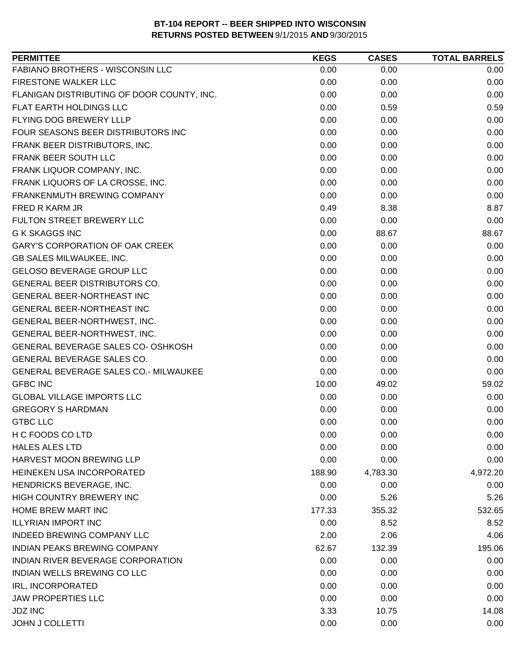| <b>PERMITTEE</b>                           | <b>KEGS</b> | <b>CASES</b> | <b>TOTAL BARRELS</b> |
|--------------------------------------------|-------------|--------------|----------------------|
| FABIANO BROTHERS - WISCONSIN LLC           | 0.00        | 0.00         | 0.00                 |
| <b>FIRESTONE WALKER LLC</b>                | 0.00        | 0.00         | 0.00                 |
| FLANIGAN DISTRIBUTING OF DOOR COUNTY, INC. | 0.00        | 0.00         | 0.00                 |
| FLAT EARTH HOLDINGS LLC                    | 0.00        | 0.59         | 0.59                 |
| FLYING DOG BREWERY LLLP                    | 0.00        | 0.00         | 0.00                 |
| FOUR SEASONS BEER DISTRIBUTORS INC         | 0.00        | 0.00         | 0.00                 |
| FRANK BEER DISTRIBUTORS, INC.              | 0.00        | 0.00         | 0.00                 |
| FRANK BEER SOUTH LLC                       | 0.00        | 0.00         | 0.00                 |
| FRANK LIQUOR COMPANY, INC.                 | 0.00        | 0.00         | 0.00                 |
| FRANK LIQUORS OF LA CROSSE, INC.           | 0.00        | 0.00         | 0.00                 |
| FRANKENMUTH BREWING COMPANY                | 0.00        | 0.00         | 0.00                 |
| FRED R KARM JR                             | 0.49        | 8.38         | 8.87                 |
| FULTON STREET BREWERY LLC                  | 0.00        | 0.00         | 0.00                 |
| <b>G K SKAGGS INC</b>                      | 0.00        | 88.67        | 88.67                |
| <b>GARY'S CORPORATION OF OAK CREEK</b>     | 0.00        | 0.00         | 0.00                 |
| <b>GB SALES MILWAUKEE, INC.</b>            | 0.00        | 0.00         | 0.00                 |
| <b>GELOSO BEVERAGE GROUP LLC</b>           | 0.00        | 0.00         | 0.00                 |
| <b>GENERAL BEER DISTRIBUTORS CO.</b>       | 0.00        | 0.00         | 0.00                 |
| GENERAL BEER-NORTHEAST INC                 | 0.00        | 0.00         | 0.00                 |
| <b>GENERAL BEER-NORTHEAST INC</b>          | 0.00        | 0.00         | 0.00                 |
| GENERAL BEER-NORTHWEST, INC.               | 0.00        | 0.00         | 0.00                 |
| GENERAL BEER-NORTHWEST, INC.               | 0.00        | 0.00         | 0.00                 |
| GENERAL BEVERAGE SALES CO- OSHKOSH         | 0.00        | 0.00         | 0.00                 |
| GENERAL BEVERAGE SALES CO.                 | 0.00        | 0.00         | 0.00                 |
| GENERAL BEVERAGE SALES CO.- MILWAUKEE      | 0.00        | 0.00         | 0.00                 |
| <b>GFBC INC</b>                            | 10.00       | 49.02        | 59.02                |
| <b>GLOBAL VILLAGE IMPORTS LLC</b>          | 0.00        | 0.00         | 0.00                 |
| <b>GREGORY S HARDMAN</b>                   | 0.00        | 0.00         | 0.00                 |
| <b>GTBC LLC</b>                            | 0.00        | 0.00         | 0.00                 |
| H C FOODS CO LTD                           | 0.00        | 0.00         | 0.00                 |
| <b>HALES ALES LTD</b>                      | 0.00        | 0.00         | 0.00                 |
| <b>HARVEST MOON BREWING LLP</b>            | 0.00        | 0.00         | 0.00                 |
| HEINEKEN USA INCORPORATED                  | 188.90      | 4,783.30     | 4,972.20             |
| HENDRICKS BEVERAGE, INC.                   | 0.00        | 0.00         | 0.00                 |
| HIGH COUNTRY BREWERY INC                   | 0.00        | 5.26         | 5.26                 |
| HOME BREW MART INC                         | 177.33      | 355.32       | 532.65               |
| <b>ILLYRIAN IMPORT INC</b>                 | 0.00        | 8.52         | 8.52                 |
| <b>INDEED BREWING COMPANY LLC</b>          | 2.00        | 2.06         | 4.06                 |
| <b>INDIAN PEAKS BREWING COMPANY</b>        | 62.67       | 132.39       | 195.06               |
| INDIAN RIVER BEVERAGE CORPORATION          | 0.00        | 0.00         | 0.00                 |
| INDIAN WELLS BREWING CO LLC                | 0.00        | 0.00         | 0.00                 |
| IRL, INCORPORATED                          | 0.00        | 0.00         | 0.00                 |
| <b>JAW PROPERTIES LLC</b>                  | 0.00        | 0.00         | 0.00                 |
| <b>JDZ INC</b>                             | 3.33        | 10.75        | 14.08                |
| <b>JOHN J COLLETTI</b>                     | 0.00        | 0.00         | 0.00                 |
|                                            |             |              |                      |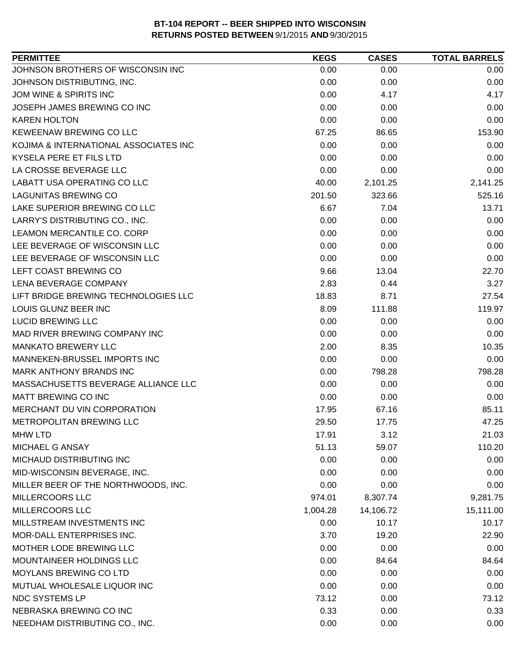| <b>PERMITTEE</b>                      | <b>KEGS</b> | <b>CASES</b> | <b>TOTAL BARRELS</b> |
|---------------------------------------|-------------|--------------|----------------------|
| JOHNSON BROTHERS OF WISCONSIN INC     | 0.00        | 0.00         | 0.00                 |
| JOHNSON DISTRIBUTING, INC.            | 0.00        | 0.00         | 0.00                 |
| JOM WINE & SPIRITS INC                | 0.00        | 4.17         | 4.17                 |
| JOSEPH JAMES BREWING CO INC           | 0.00        | 0.00         | 0.00                 |
| <b>KAREN HOLTON</b>                   | 0.00        | 0.00         | 0.00                 |
| KEWEENAW BREWING CO LLC               | 67.25       | 86.65        | 153.90               |
| KOJIMA & INTERNATIONAL ASSOCIATES INC | 0.00        | 0.00         | 0.00                 |
| KYSELA PERE ET FILS LTD               | 0.00        | 0.00         | 0.00                 |
| LA CROSSE BEVERAGE LLC                | 0.00        | 0.00         | 0.00                 |
| LABATT USA OPERATING CO LLC           | 40.00       | 2,101.25     | 2,141.25             |
| <b>LAGUNITAS BREWING CO</b>           | 201.50      | 323.66       | 525.16               |
| LAKE SUPERIOR BREWING CO LLC          | 6.67        | 7.04         | 13.71                |
| LARRY'S DISTRIBUTING CO., INC.        | 0.00        | 0.00         | 0.00                 |
| LEAMON MERCANTILE CO. CORP            | 0.00        | 0.00         | 0.00                 |
| LEE BEVERAGE OF WISCONSIN LLC         | 0.00        | 0.00         | 0.00                 |
| LEE BEVERAGE OF WISCONSIN LLC         | 0.00        | 0.00         | 0.00                 |
| LEFT COAST BREWING CO                 | 9.66        | 13.04        | 22.70                |
| LENA BEVERAGE COMPANY                 | 2.83        | 0.44         | 3.27                 |
| LIFT BRIDGE BREWING TECHNOLOGIES LLC  | 18.83       | 8.71         | 27.54                |
| LOUIS GLUNZ BEER INC                  | 8.09        | 111.88       | 119.97               |
| <b>LUCID BREWING LLC</b>              | 0.00        | 0.00         | 0.00                 |
| MAD RIVER BREWING COMPANY INC         | 0.00        | 0.00         | 0.00                 |
| <b>MANKATO BREWERY LLC</b>            | 2.00        | 8.35         | 10.35                |
| MANNEKEN-BRUSSEL IMPORTS INC          | 0.00        | 0.00         | 0.00                 |
| MARK ANTHONY BRANDS INC               | 0.00        | 798.28       | 798.28               |
| MASSACHUSETTS BEVERAGE ALLIANCE LLC   | 0.00        | 0.00         | 0.00                 |
| MATT BREWING CO INC                   | 0.00        | 0.00         | 0.00                 |
| MERCHANT DU VIN CORPORATION           | 17.95       | 67.16        | 85.11                |
| <b>METROPOLITAN BREWING LLC</b>       | 29.50       | 17.75        | 47.25                |
| <b>MHW LTD</b>                        | 17.91       | 3.12         | 21.03                |
| MICHAEL G ANSAY                       | 51.13       | 59.07        | 110.20               |
| MICHAUD DISTRIBUTING INC              | 0.00        | 0.00         | 0.00                 |
| MID-WISCONSIN BEVERAGE, INC.          | 0.00        | 0.00         | 0.00                 |
| MILLER BEER OF THE NORTHWOODS, INC.   | 0.00        | 0.00         | 0.00                 |
| <b>MILLERCOORS LLC</b>                | 974.01      | 8,307.74     | 9,281.75             |
| MILLERCOORS LLC                       | 1,004.28    | 14,106.72    | 15,111.00            |
| MILLSTREAM INVESTMENTS INC            | 0.00        | 10.17        | 10.17                |
| MOR-DALL ENTERPRISES INC.             | 3.70        | 19.20        | 22.90                |
| MOTHER LODE BREWING LLC               | 0.00        | 0.00         | 0.00                 |
| MOUNTAINEER HOLDINGS LLC              | 0.00        | 84.64        | 84.64                |
| MOYLANS BREWING CO LTD                | 0.00        | 0.00         | 0.00                 |
| MUTUAL WHOLESALE LIQUOR INC           | 0.00        | 0.00         | 0.00                 |
| NDC SYSTEMS LP                        | 73.12       | 0.00         | 73.12                |
| NEBRASKA BREWING CO INC               | 0.33        | 0.00         | 0.33                 |
| NEEDHAM DISTRIBUTING CO., INC.        | 0.00        | 0.00         | 0.00                 |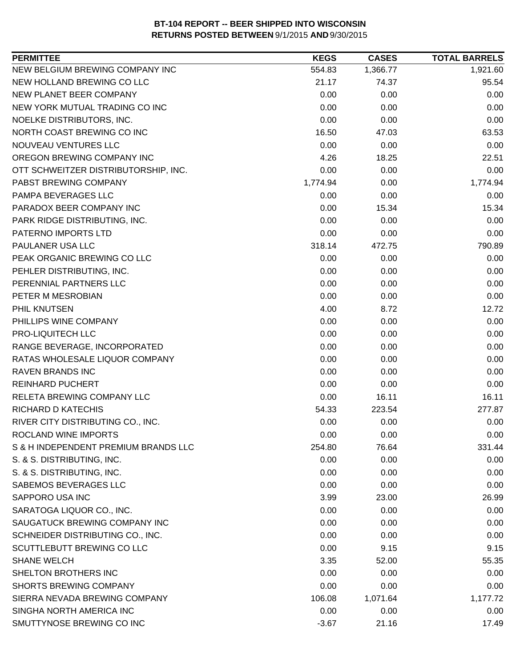| NEW BELGIUM BREWING COMPANY INC<br>554.83<br>1,366.77<br>1,921.60<br>NEW HOLLAND BREWING CO LLC<br>21.17<br>74.37<br>95.54<br>NEW PLANET BEER COMPANY<br>0.00<br>0.00<br>0.00<br>0.00<br>NEW YORK MUTUAL TRADING CO INC<br>0.00<br>0.00<br>NOELKE DISTRIBUTORS, INC.<br>0.00<br>0.00<br>0.00<br>NORTH COAST BREWING CO INC<br>16.50<br>47.03<br>63.53<br>NOUVEAU VENTURES LLC<br>0.00<br>0.00<br>0.00<br>OREGON BREWING COMPANY INC<br>4.26<br>18.25<br>22.51<br>0.00<br>0.00<br>0.00<br>OTT SCHWEITZER DISTRIBUTORSHIP, INC.<br>PABST BREWING COMPANY<br>1,774.94<br>0.00<br>1,774.94<br>PAMPA BEVERAGES LLC<br>0.00<br>0.00<br>0.00<br>PARADOX BEER COMPANY INC<br>0.00<br>15.34<br>15.34<br>PARK RIDGE DISTRIBUTING, INC.<br>0.00<br>0.00<br>0.00<br>PATERNO IMPORTS LTD<br>0.00<br>0.00<br>0.00<br>PAULANER USA LLC<br>318.14<br>472.75<br>790.89<br>PEAK ORGANIC BREWING CO LLC<br>0.00<br>0.00<br>0.00<br>PEHLER DISTRIBUTING, INC.<br>0.00<br>0.00<br>0.00<br>PERENNIAL PARTNERS LLC<br>0.00<br>0.00<br>0.00<br>PETER M MESROBIAN<br>0.00<br>0.00<br>0.00<br>12.72<br>PHIL KNUTSEN<br>4.00<br>8.72<br>PHILLIPS WINE COMPANY<br>0.00<br>0.00<br>0.00<br>PRO-LIQUITECH LLC<br>0.00<br>0.00<br>0.00<br>RANGE BEVERAGE, INCORPORATED<br>0.00<br>0.00<br>0.00<br>RATAS WHOLESALE LIQUOR COMPANY<br>0.00<br>0.00<br>0.00<br>0.00<br><b>RAVEN BRANDS INC</b><br>0.00<br>0.00<br><b>REINHARD PUCHERT</b><br>0.00<br>0.00<br>0.00<br>RELETA BREWING COMPANY LLC<br>0.00<br>16.11<br>16.11<br><b>RICHARD D KATECHIS</b><br>54.33<br>223.54<br>277.87<br>RIVER CITY DISTRIBUTING CO., INC.<br>0.00<br>0.00<br>0.00<br>ROCLAND WINE IMPORTS<br>0.00<br>0.00<br>0.00<br>S & H INDEPENDENT PREMIUM BRANDS LLC<br>331.44<br>254.80<br>76.64<br>S. & S. DISTRIBUTING, INC.<br>0.00<br>0.00<br>0.00<br>S. & S. DISTRIBUTING, INC.<br>0.00<br>0.00<br>0.00<br>SABEMOS BEVERAGES LLC<br>0.00<br>0.00<br>0.00<br>SAPPORO USA INC<br>3.99<br>23.00<br>26.99<br>SARATOGA LIQUOR CO., INC.<br>0.00<br>0.00<br>0.00<br>SAUGATUCK BREWING COMPANY INC<br>0.00<br>0.00<br>0.00<br>SCHNEIDER DISTRIBUTING CO., INC.<br>0.00<br>0.00<br>0.00<br>SCUTTLEBUTT BREWING CO LLC<br>0.00<br>9.15<br>9.15<br><b>SHANE WELCH</b><br>3.35<br>55.35<br>52.00<br>SHELTON BROTHERS INC<br>0.00<br>0.00<br>0.00<br><b>SHORTS BREWING COMPANY</b><br>0.00<br>0.00<br>0.00<br>SIERRA NEVADA BREWING COMPANY<br>106.08<br>1,071.64<br>1,177.72<br>SINGHA NORTH AMERICA INC<br>0.00<br>0.00<br>0.00<br>SMUTTYNOSE BREWING CO INC<br>$-3.67$<br>21.16<br>17.49 | <b>PERMITTEE</b> | <b>KEGS</b> | <b>CASES</b> | <b>TOTAL BARRELS</b> |
|-------------------------------------------------------------------------------------------------------------------------------------------------------------------------------------------------------------------------------------------------------------------------------------------------------------------------------------------------------------------------------------------------------------------------------------------------------------------------------------------------------------------------------------------------------------------------------------------------------------------------------------------------------------------------------------------------------------------------------------------------------------------------------------------------------------------------------------------------------------------------------------------------------------------------------------------------------------------------------------------------------------------------------------------------------------------------------------------------------------------------------------------------------------------------------------------------------------------------------------------------------------------------------------------------------------------------------------------------------------------------------------------------------------------------------------------------------------------------------------------------------------------------------------------------------------------------------------------------------------------------------------------------------------------------------------------------------------------------------------------------------------------------------------------------------------------------------------------------------------------------------------------------------------------------------------------------------------------------------------------------------------------------------------------------------------------------------------------------------------------------------------------------------------------------------------------------------------------------------------------------------------------------------------------------------------------------------------------------------------------------------------------------------------------------------------------------------------------------------------------------------------------------|------------------|-------------|--------------|----------------------|
|                                                                                                                                                                                                                                                                                                                                                                                                                                                                                                                                                                                                                                                                                                                                                                                                                                                                                                                                                                                                                                                                                                                                                                                                                                                                                                                                                                                                                                                                                                                                                                                                                                                                                                                                                                                                                                                                                                                                                                                                                                                                                                                                                                                                                                                                                                                                                                                                                                                                                                                         |                  |             |              |                      |
|                                                                                                                                                                                                                                                                                                                                                                                                                                                                                                                                                                                                                                                                                                                                                                                                                                                                                                                                                                                                                                                                                                                                                                                                                                                                                                                                                                                                                                                                                                                                                                                                                                                                                                                                                                                                                                                                                                                                                                                                                                                                                                                                                                                                                                                                                                                                                                                                                                                                                                                         |                  |             |              |                      |
|                                                                                                                                                                                                                                                                                                                                                                                                                                                                                                                                                                                                                                                                                                                                                                                                                                                                                                                                                                                                                                                                                                                                                                                                                                                                                                                                                                                                                                                                                                                                                                                                                                                                                                                                                                                                                                                                                                                                                                                                                                                                                                                                                                                                                                                                                                                                                                                                                                                                                                                         |                  |             |              |                      |
|                                                                                                                                                                                                                                                                                                                                                                                                                                                                                                                                                                                                                                                                                                                                                                                                                                                                                                                                                                                                                                                                                                                                                                                                                                                                                                                                                                                                                                                                                                                                                                                                                                                                                                                                                                                                                                                                                                                                                                                                                                                                                                                                                                                                                                                                                                                                                                                                                                                                                                                         |                  |             |              |                      |
|                                                                                                                                                                                                                                                                                                                                                                                                                                                                                                                                                                                                                                                                                                                                                                                                                                                                                                                                                                                                                                                                                                                                                                                                                                                                                                                                                                                                                                                                                                                                                                                                                                                                                                                                                                                                                                                                                                                                                                                                                                                                                                                                                                                                                                                                                                                                                                                                                                                                                                                         |                  |             |              |                      |
|                                                                                                                                                                                                                                                                                                                                                                                                                                                                                                                                                                                                                                                                                                                                                                                                                                                                                                                                                                                                                                                                                                                                                                                                                                                                                                                                                                                                                                                                                                                                                                                                                                                                                                                                                                                                                                                                                                                                                                                                                                                                                                                                                                                                                                                                                                                                                                                                                                                                                                                         |                  |             |              |                      |
|                                                                                                                                                                                                                                                                                                                                                                                                                                                                                                                                                                                                                                                                                                                                                                                                                                                                                                                                                                                                                                                                                                                                                                                                                                                                                                                                                                                                                                                                                                                                                                                                                                                                                                                                                                                                                                                                                                                                                                                                                                                                                                                                                                                                                                                                                                                                                                                                                                                                                                                         |                  |             |              |                      |
|                                                                                                                                                                                                                                                                                                                                                                                                                                                                                                                                                                                                                                                                                                                                                                                                                                                                                                                                                                                                                                                                                                                                                                                                                                                                                                                                                                                                                                                                                                                                                                                                                                                                                                                                                                                                                                                                                                                                                                                                                                                                                                                                                                                                                                                                                                                                                                                                                                                                                                                         |                  |             |              |                      |
|                                                                                                                                                                                                                                                                                                                                                                                                                                                                                                                                                                                                                                                                                                                                                                                                                                                                                                                                                                                                                                                                                                                                                                                                                                                                                                                                                                                                                                                                                                                                                                                                                                                                                                                                                                                                                                                                                                                                                                                                                                                                                                                                                                                                                                                                                                                                                                                                                                                                                                                         |                  |             |              |                      |
|                                                                                                                                                                                                                                                                                                                                                                                                                                                                                                                                                                                                                                                                                                                                                                                                                                                                                                                                                                                                                                                                                                                                                                                                                                                                                                                                                                                                                                                                                                                                                                                                                                                                                                                                                                                                                                                                                                                                                                                                                                                                                                                                                                                                                                                                                                                                                                                                                                                                                                                         |                  |             |              |                      |
|                                                                                                                                                                                                                                                                                                                                                                                                                                                                                                                                                                                                                                                                                                                                                                                                                                                                                                                                                                                                                                                                                                                                                                                                                                                                                                                                                                                                                                                                                                                                                                                                                                                                                                                                                                                                                                                                                                                                                                                                                                                                                                                                                                                                                                                                                                                                                                                                                                                                                                                         |                  |             |              |                      |
|                                                                                                                                                                                                                                                                                                                                                                                                                                                                                                                                                                                                                                                                                                                                                                                                                                                                                                                                                                                                                                                                                                                                                                                                                                                                                                                                                                                                                                                                                                                                                                                                                                                                                                                                                                                                                                                                                                                                                                                                                                                                                                                                                                                                                                                                                                                                                                                                                                                                                                                         |                  |             |              |                      |
|                                                                                                                                                                                                                                                                                                                                                                                                                                                                                                                                                                                                                                                                                                                                                                                                                                                                                                                                                                                                                                                                                                                                                                                                                                                                                                                                                                                                                                                                                                                                                                                                                                                                                                                                                                                                                                                                                                                                                                                                                                                                                                                                                                                                                                                                                                                                                                                                                                                                                                                         |                  |             |              |                      |
|                                                                                                                                                                                                                                                                                                                                                                                                                                                                                                                                                                                                                                                                                                                                                                                                                                                                                                                                                                                                                                                                                                                                                                                                                                                                                                                                                                                                                                                                                                                                                                                                                                                                                                                                                                                                                                                                                                                                                                                                                                                                                                                                                                                                                                                                                                                                                                                                                                                                                                                         |                  |             |              |                      |
|                                                                                                                                                                                                                                                                                                                                                                                                                                                                                                                                                                                                                                                                                                                                                                                                                                                                                                                                                                                                                                                                                                                                                                                                                                                                                                                                                                                                                                                                                                                                                                                                                                                                                                                                                                                                                                                                                                                                                                                                                                                                                                                                                                                                                                                                                                                                                                                                                                                                                                                         |                  |             |              |                      |
|                                                                                                                                                                                                                                                                                                                                                                                                                                                                                                                                                                                                                                                                                                                                                                                                                                                                                                                                                                                                                                                                                                                                                                                                                                                                                                                                                                                                                                                                                                                                                                                                                                                                                                                                                                                                                                                                                                                                                                                                                                                                                                                                                                                                                                                                                                                                                                                                                                                                                                                         |                  |             |              |                      |
|                                                                                                                                                                                                                                                                                                                                                                                                                                                                                                                                                                                                                                                                                                                                                                                                                                                                                                                                                                                                                                                                                                                                                                                                                                                                                                                                                                                                                                                                                                                                                                                                                                                                                                                                                                                                                                                                                                                                                                                                                                                                                                                                                                                                                                                                                                                                                                                                                                                                                                                         |                  |             |              |                      |
|                                                                                                                                                                                                                                                                                                                                                                                                                                                                                                                                                                                                                                                                                                                                                                                                                                                                                                                                                                                                                                                                                                                                                                                                                                                                                                                                                                                                                                                                                                                                                                                                                                                                                                                                                                                                                                                                                                                                                                                                                                                                                                                                                                                                                                                                                                                                                                                                                                                                                                                         |                  |             |              |                      |
|                                                                                                                                                                                                                                                                                                                                                                                                                                                                                                                                                                                                                                                                                                                                                                                                                                                                                                                                                                                                                                                                                                                                                                                                                                                                                                                                                                                                                                                                                                                                                                                                                                                                                                                                                                                                                                                                                                                                                                                                                                                                                                                                                                                                                                                                                                                                                                                                                                                                                                                         |                  |             |              |                      |
|                                                                                                                                                                                                                                                                                                                                                                                                                                                                                                                                                                                                                                                                                                                                                                                                                                                                                                                                                                                                                                                                                                                                                                                                                                                                                                                                                                                                                                                                                                                                                                                                                                                                                                                                                                                                                                                                                                                                                                                                                                                                                                                                                                                                                                                                                                                                                                                                                                                                                                                         |                  |             |              |                      |
|                                                                                                                                                                                                                                                                                                                                                                                                                                                                                                                                                                                                                                                                                                                                                                                                                                                                                                                                                                                                                                                                                                                                                                                                                                                                                                                                                                                                                                                                                                                                                                                                                                                                                                                                                                                                                                                                                                                                                                                                                                                                                                                                                                                                                                                                                                                                                                                                                                                                                                                         |                  |             |              |                      |
|                                                                                                                                                                                                                                                                                                                                                                                                                                                                                                                                                                                                                                                                                                                                                                                                                                                                                                                                                                                                                                                                                                                                                                                                                                                                                                                                                                                                                                                                                                                                                                                                                                                                                                                                                                                                                                                                                                                                                                                                                                                                                                                                                                                                                                                                                                                                                                                                                                                                                                                         |                  |             |              |                      |
|                                                                                                                                                                                                                                                                                                                                                                                                                                                                                                                                                                                                                                                                                                                                                                                                                                                                                                                                                                                                                                                                                                                                                                                                                                                                                                                                                                                                                                                                                                                                                                                                                                                                                                                                                                                                                                                                                                                                                                                                                                                                                                                                                                                                                                                                                                                                                                                                                                                                                                                         |                  |             |              |                      |
|                                                                                                                                                                                                                                                                                                                                                                                                                                                                                                                                                                                                                                                                                                                                                                                                                                                                                                                                                                                                                                                                                                                                                                                                                                                                                                                                                                                                                                                                                                                                                                                                                                                                                                                                                                                                                                                                                                                                                                                                                                                                                                                                                                                                                                                                                                                                                                                                                                                                                                                         |                  |             |              |                      |
|                                                                                                                                                                                                                                                                                                                                                                                                                                                                                                                                                                                                                                                                                                                                                                                                                                                                                                                                                                                                                                                                                                                                                                                                                                                                                                                                                                                                                                                                                                                                                                                                                                                                                                                                                                                                                                                                                                                                                                                                                                                                                                                                                                                                                                                                                                                                                                                                                                                                                                                         |                  |             |              |                      |
|                                                                                                                                                                                                                                                                                                                                                                                                                                                                                                                                                                                                                                                                                                                                                                                                                                                                                                                                                                                                                                                                                                                                                                                                                                                                                                                                                                                                                                                                                                                                                                                                                                                                                                                                                                                                                                                                                                                                                                                                                                                                                                                                                                                                                                                                                                                                                                                                                                                                                                                         |                  |             |              |                      |
|                                                                                                                                                                                                                                                                                                                                                                                                                                                                                                                                                                                                                                                                                                                                                                                                                                                                                                                                                                                                                                                                                                                                                                                                                                                                                                                                                                                                                                                                                                                                                                                                                                                                                                                                                                                                                                                                                                                                                                                                                                                                                                                                                                                                                                                                                                                                                                                                                                                                                                                         |                  |             |              |                      |
|                                                                                                                                                                                                                                                                                                                                                                                                                                                                                                                                                                                                                                                                                                                                                                                                                                                                                                                                                                                                                                                                                                                                                                                                                                                                                                                                                                                                                                                                                                                                                                                                                                                                                                                                                                                                                                                                                                                                                                                                                                                                                                                                                                                                                                                                                                                                                                                                                                                                                                                         |                  |             |              |                      |
|                                                                                                                                                                                                                                                                                                                                                                                                                                                                                                                                                                                                                                                                                                                                                                                                                                                                                                                                                                                                                                                                                                                                                                                                                                                                                                                                                                                                                                                                                                                                                                                                                                                                                                                                                                                                                                                                                                                                                                                                                                                                                                                                                                                                                                                                                                                                                                                                                                                                                                                         |                  |             |              |                      |
|                                                                                                                                                                                                                                                                                                                                                                                                                                                                                                                                                                                                                                                                                                                                                                                                                                                                                                                                                                                                                                                                                                                                                                                                                                                                                                                                                                                                                                                                                                                                                                                                                                                                                                                                                                                                                                                                                                                                                                                                                                                                                                                                                                                                                                                                                                                                                                                                                                                                                                                         |                  |             |              |                      |
|                                                                                                                                                                                                                                                                                                                                                                                                                                                                                                                                                                                                                                                                                                                                                                                                                                                                                                                                                                                                                                                                                                                                                                                                                                                                                                                                                                                                                                                                                                                                                                                                                                                                                                                                                                                                                                                                                                                                                                                                                                                                                                                                                                                                                                                                                                                                                                                                                                                                                                                         |                  |             |              |                      |
|                                                                                                                                                                                                                                                                                                                                                                                                                                                                                                                                                                                                                                                                                                                                                                                                                                                                                                                                                                                                                                                                                                                                                                                                                                                                                                                                                                                                                                                                                                                                                                                                                                                                                                                                                                                                                                                                                                                                                                                                                                                                                                                                                                                                                                                                                                                                                                                                                                                                                                                         |                  |             |              |                      |
|                                                                                                                                                                                                                                                                                                                                                                                                                                                                                                                                                                                                                                                                                                                                                                                                                                                                                                                                                                                                                                                                                                                                                                                                                                                                                                                                                                                                                                                                                                                                                                                                                                                                                                                                                                                                                                                                                                                                                                                                                                                                                                                                                                                                                                                                                                                                                                                                                                                                                                                         |                  |             |              |                      |
|                                                                                                                                                                                                                                                                                                                                                                                                                                                                                                                                                                                                                                                                                                                                                                                                                                                                                                                                                                                                                                                                                                                                                                                                                                                                                                                                                                                                                                                                                                                                                                                                                                                                                                                                                                                                                                                                                                                                                                                                                                                                                                                                                                                                                                                                                                                                                                                                                                                                                                                         |                  |             |              |                      |
|                                                                                                                                                                                                                                                                                                                                                                                                                                                                                                                                                                                                                                                                                                                                                                                                                                                                                                                                                                                                                                                                                                                                                                                                                                                                                                                                                                                                                                                                                                                                                                                                                                                                                                                                                                                                                                                                                                                                                                                                                                                                                                                                                                                                                                                                                                                                                                                                                                                                                                                         |                  |             |              |                      |
|                                                                                                                                                                                                                                                                                                                                                                                                                                                                                                                                                                                                                                                                                                                                                                                                                                                                                                                                                                                                                                                                                                                                                                                                                                                                                                                                                                                                                                                                                                                                                                                                                                                                                                                                                                                                                                                                                                                                                                                                                                                                                                                                                                                                                                                                                                                                                                                                                                                                                                                         |                  |             |              |                      |
|                                                                                                                                                                                                                                                                                                                                                                                                                                                                                                                                                                                                                                                                                                                                                                                                                                                                                                                                                                                                                                                                                                                                                                                                                                                                                                                                                                                                                                                                                                                                                                                                                                                                                                                                                                                                                                                                                                                                                                                                                                                                                                                                                                                                                                                                                                                                                                                                                                                                                                                         |                  |             |              |                      |
|                                                                                                                                                                                                                                                                                                                                                                                                                                                                                                                                                                                                                                                                                                                                                                                                                                                                                                                                                                                                                                                                                                                                                                                                                                                                                                                                                                                                                                                                                                                                                                                                                                                                                                                                                                                                                                                                                                                                                                                                                                                                                                                                                                                                                                                                                                                                                                                                                                                                                                                         |                  |             |              |                      |
|                                                                                                                                                                                                                                                                                                                                                                                                                                                                                                                                                                                                                                                                                                                                                                                                                                                                                                                                                                                                                                                                                                                                                                                                                                                                                                                                                                                                                                                                                                                                                                                                                                                                                                                                                                                                                                                                                                                                                                                                                                                                                                                                                                                                                                                                                                                                                                                                                                                                                                                         |                  |             |              |                      |
|                                                                                                                                                                                                                                                                                                                                                                                                                                                                                                                                                                                                                                                                                                                                                                                                                                                                                                                                                                                                                                                                                                                                                                                                                                                                                                                                                                                                                                                                                                                                                                                                                                                                                                                                                                                                                                                                                                                                                                                                                                                                                                                                                                                                                                                                                                                                                                                                                                                                                                                         |                  |             |              |                      |
|                                                                                                                                                                                                                                                                                                                                                                                                                                                                                                                                                                                                                                                                                                                                                                                                                                                                                                                                                                                                                                                                                                                                                                                                                                                                                                                                                                                                                                                                                                                                                                                                                                                                                                                                                                                                                                                                                                                                                                                                                                                                                                                                                                                                                                                                                                                                                                                                                                                                                                                         |                  |             |              |                      |
|                                                                                                                                                                                                                                                                                                                                                                                                                                                                                                                                                                                                                                                                                                                                                                                                                                                                                                                                                                                                                                                                                                                                                                                                                                                                                                                                                                                                                                                                                                                                                                                                                                                                                                                                                                                                                                                                                                                                                                                                                                                                                                                                                                                                                                                                                                                                                                                                                                                                                                                         |                  |             |              |                      |
|                                                                                                                                                                                                                                                                                                                                                                                                                                                                                                                                                                                                                                                                                                                                                                                                                                                                                                                                                                                                                                                                                                                                                                                                                                                                                                                                                                                                                                                                                                                                                                                                                                                                                                                                                                                                                                                                                                                                                                                                                                                                                                                                                                                                                                                                                                                                                                                                                                                                                                                         |                  |             |              |                      |
|                                                                                                                                                                                                                                                                                                                                                                                                                                                                                                                                                                                                                                                                                                                                                                                                                                                                                                                                                                                                                                                                                                                                                                                                                                                                                                                                                                                                                                                                                                                                                                                                                                                                                                                                                                                                                                                                                                                                                                                                                                                                                                                                                                                                                                                                                                                                                                                                                                                                                                                         |                  |             |              |                      |
|                                                                                                                                                                                                                                                                                                                                                                                                                                                                                                                                                                                                                                                                                                                                                                                                                                                                                                                                                                                                                                                                                                                                                                                                                                                                                                                                                                                                                                                                                                                                                                                                                                                                                                                                                                                                                                                                                                                                                                                                                                                                                                                                                                                                                                                                                                                                                                                                                                                                                                                         |                  |             |              |                      |